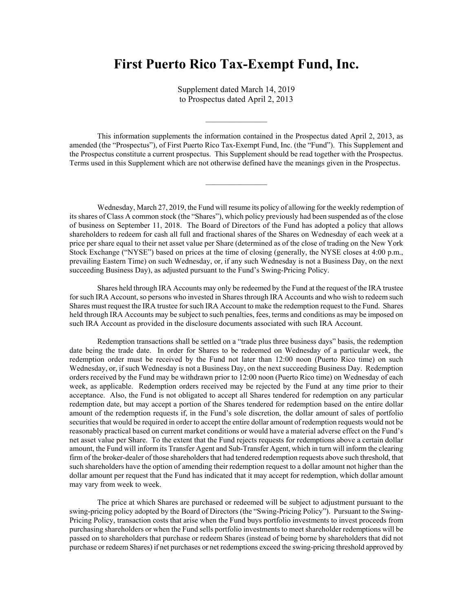## **First Puerto Rico Tax-Exempt Fund, Inc.**

Supplement dated March 14, 2019 to Prospectus dated April 2, 2013

This information supplements the information contained in the Prospectus dated April 2, 2013, as amended (the "Prospectus"), of First Puerto Rico Tax-Exempt Fund, Inc. (the "Fund"). This Supplement and the Prospectus constitute a current prospectus. This Supplement should be read together with the Prospectus. Terms used in this Supplement which are not otherwise defined have the meanings given in the Prospectus.

Wednesday, March 27, 2019, the Fund will resume its policy of allowing for the weekly redemption of its shares of Class A common stock (the "Shares"), which policy previously had been suspended as of the close of business on September 11, 2018. The Board of Directors of the Fund has adopted a policy that allows shareholders to redeem for cash all full and fractional shares of the Shares on Wednesday of each week at a price per share equal to their net asset value per Share (determined as of the close of trading on the New York Stock Exchange ("NYSE") based on prices at the time of closing (generally, the NYSE closes at 4:00 p.m., prevailing Eastern Time) on such Wednesday, or, if any such Wednesday is not a Business Day, on the next succeeding Business Day), as adjusted pursuant to the Fund's Swing-Pricing Policy.

Shares held through IRA Accounts may only be redeemed by the Fund at the request of the IRA trustee for such IRA Account, so persons who invested in Shares through IRA Accounts and who wish to redeem such Shares must request the IRA trustee for such IRA Account to make the redemption request to the Fund. Shares held through IRA Accounts may be subject to such penalties, fees, terms and conditions as may be imposed on such IRA Account as provided in the disclosure documents associated with such IRA Account.

Redemption transactions shall be settled on a "trade plus three business days" basis, the redemption date being the trade date. In order for Shares to be redeemed on Wednesday of a particular week, the redemption order must be received by the Fund not later than 12:00 noon (Puerto Rico time) on such Wednesday, or, if such Wednesday is not a Business Day, on the next succeeding Business Day. Redemption orders received by the Fund may be withdrawn prior to 12:00 noon (Puerto Rico time) on Wednesday of each week, as applicable. Redemption orders received may be rejected by the Fund at any time prior to their acceptance. Also, the Fund is not obligated to accept all Shares tendered for redemption on any particular redemption date, but may accept a portion of the Shares tendered for redemption based on the entire dollar amount of the redemption requests if, in the Fund's sole discretion, the dollar amount of sales of portfolio securities that would be required in order to accept the entire dollar amount of redemption requests would not be reasonably practical based on current market conditions or would have a material adverse effect on the Fund's net asset value per Share. To the extent that the Fund rejects requests for redemptions above a certain dollar amount, the Fund will inform its Transfer Agent and Sub-Transfer Agent, which in turn will inform the clearing firm of the broker-dealer of those shareholders that had tendered redemption requests above such threshold, that such shareholders have the option of amending their redemption request to a dollar amount not higher than the dollar amount per request that the Fund has indicated that it may accept for redemption, which dollar amount may vary from week to week.

The price at which Shares are purchased or redeemed will be subject to adjustment pursuant to the swing-pricing policy adopted by the Board of Directors (the "Swing-Pricing Policy"). Pursuant to the Swing-Pricing Policy, transaction costs that arise when the Fund buys portfolio investments to invest proceeds from purchasing shareholders or when the Fund sells portfolio investments to meet shareholder redemptions will be passed on to shareholders that purchase or redeem Shares (instead of being borne by shareholders that did not purchase or redeem Shares) if net purchases or net redemptions exceed the swing-pricing threshold approved by